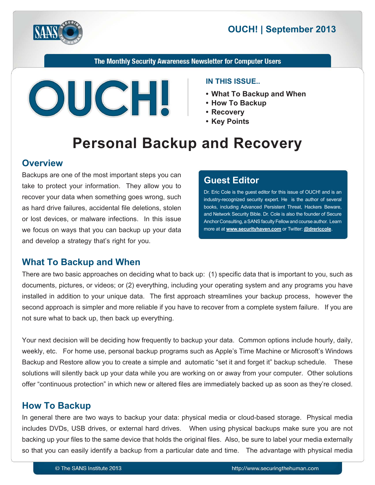

# **2013** OUCH! | September 2013

The Monthly Security Awareness Newsletter for Computer Users



#### **IN THIS ISSUE...**

- What To Backup and When
- 
- **Recovery•**
- Key Points

# **Personal Backup and Recovery**

### **Overview**

Backups are one of the most important steps you can take to protect your information. They allow you to recover your data when something goes wrong, such as hard drive failures, accidental file deletions, stolen or lost devices, or malware infections. In this issue we focus on ways that you can backup up your data and develop a strategy that's right for you.

### **Editor Guest**

Dr. Eric Cole is the guest editor for this issue of OUCH! and is an industry-recognized security expert. He is the author of several books, including Advanced Persistent Threat, Hackers Beware, and Network Security Bible. Dr. Cole is also the founder of Secure Anchor Consulting, a SANS faculty Fellow and course author. Learn more at at **www.securityhaven.com** or Twitter: @[drericcole](https://twitter.com/drericcole).

### **What To Backup and When**

There are two basic approaches on deciding what to back up: (1) specific data that is important to you, such as documents, pictures, or videos; or (2) everything, including your operating system and any programs you have installed in addition to your unique data. The first approach streamlines your backup process, however the second approach is simpler and more reliable if you have to recover from a complete system failure. If you are not sure what to back up, then back up everything.

Your next decision will be deciding how frequently to backup your data. Common options include hourly, daily, weekly, etc. For home use, personal backup programs such as Apple's Time Machine or Microsoft's Windows Backup and Restore allow you to create a simple and automatic "set it and forget it" backup schedule. These solutions will silently back up your data while you are working on or away from your computer. Other solutions offer "continuous protection" in which new or altered files are immediately backed up as soon as they're closed.

### **How To Backup**

In general there are two ways to backup your data: physical media or cloud-based storage. Physical media includes DVDs, USB drives, or external hard drives. When using physical backups make sure you are not backing up your files to the same device that holds the original files. Also, be sure to label your media externally so that you can easily identify a backup from a particular date and time. The advantage with physical media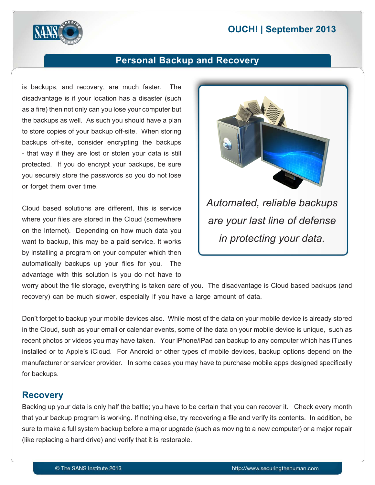# **2013** OUCH! | September 2013



# **Personal Backup and Recovery**

is backups, and recovery, are much faster. The disadvantage is if your location has a disaster (such as a fire) then not only can you lose your computer but the backups as well. As such you should have a plan to store copies of your backup off-site. When storing backups off-site, consider encrypting the backups - that way if they are lost or stolen your data is still protected. If you do encrypt your backups, be sure you securely store the passwords so you do not lose or forget them over time.

Cloud based solutions are different, this is service where your files are stored in the Cloud (somewhere on the Internet). Depending on how much data you want to backup, this may be a paid service. It works by installing a program on your computer which then automatically backups up your files for you. The advantage with this solution is you do not have to



are your last line of defense *in protecting your data.* 

worry about the file storage, everything is taken care of you. The disadvantage is Cloud based backups (and recovery) can be much slower, especially if you have a large amount of data.

Don't forget to backup your mobile devices also. While most of the data on your mobile device is already stored in the Cloud, such as your email or calendar events, some of the data on your mobile device is unique, such as recent photos or videos you may have taken. Your iPhone/iPad can backup to any computer which has iTunes installed or to Apple's iCloud. For Android or other types of mobile devices, backup options depend on the manufacturer or servicer provider. In some cases you may have to purchase mobile apps designed specifically for backups.

### **Recovery**

Backing up your data is only half the battle; you have to be certain that you can recover it. Check every month that your backup program is working. If nothing else, try recovering a file and verify its contents. In addition, be sure to make a full system backup before a major upgrade (such as moving to a new computer) or a major repair (like replacing a hard drive) and verify that it is restorable.